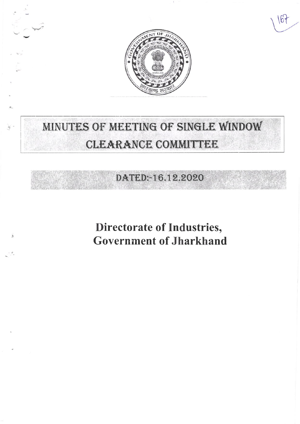

164

# MINUTES OF MEETING OF SINGLE WINDOW CLEARANCE COMMITTEE

DATED:-16.12.2020

**Directorate of Industries, Government of Jharkhand**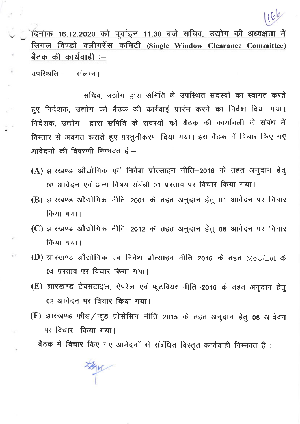

ँदेनांक 16.12.2020 को पूर्वाहन 11.30 बजे सचिव, उद्योग की अध्यक्षता में सिंगल विण्डो क्लीयरेंस कमिटी (Single Window Clearance Committee) बैठक की कार्यवाही :-

उपस्थिति– संलग्न।

 $\bar{a}$ 

सचिव, उद्योग द्वारा समिति के उपस्थित सदस्यों का स्वागत करते हुए निदेशक, उद्योग को बैठक की कार्रवाई प्रारंभ करने का निदेश दिया गया। निदेशक, उद्योग द्वारा समिति के सदस्यों को बैठक की कार्यावली के संबंध में विस्तार से अवगत कराते हुए प्रस्तुतीकरण दिया गया। इस बैठक में विचार किए गए आवेदनों की विवरणी निम्नवत है:-

- (A) झारखण्ड औद्योगिक एवं निवेश प्रोत्साहन नीति–2016 के तहत अनुदान हेतु 08 आवेदन एवं अन्य विषय संबंधी 01 प्रस्ताव पर विचार किया गया।
- (B) झारखण्ड औद्योगिक नीति-2001 के तहत अनुदान हेतु 01 आवेदन पर विचार किया गया।
- (C) झारखण्ड औद्योगिक नीति-2012 के तहत अनुदान हेतु 08 आवेदन पर विचार किया गया।
- (D) झारखण्ड औद्योगिक एवं निवेश प्रोत्साहन नीति-2016 के तहत MoU/LoI के 04 प्रस्ताव पर विचार किया गया।
- (E) झारखण्ड टेक्सटाइल, ऐपरेल एवं फूटवियर नीति-2016 के तहत अनुदान हेतु 02 आवेदन पर विचार किया गया।
- (F) झारखण्ड फीड/फूड प्रोसेसिंग नीति-2015 के तहत अनुदान हेतु 08 आवेदन पर विचार किया गया।

बैठक में विचार किए गए आवेदनों से संबंधित विस्तृत कार्यवाही निम्नवत है :-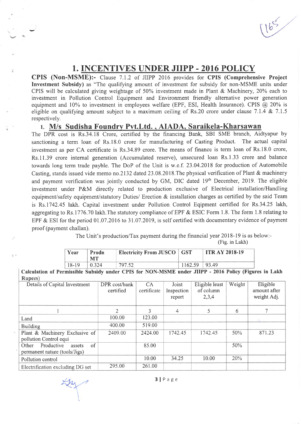## 1. INCENTIVES UNDER JIIPP - 2016 POLICY

CPIS (Non-MSME):- Clause 7.1.2 of JIIPP 2016 provides for CPIS (Comprehensive Project Investment Subsidy) as "The qualifying amount of investment for subsidy for non-MSME units under CPIS will be calculated giving weightage of 50% investment made in Plant & Machinery, 20% each to investment in Pollution Control Equipment and Environment friendly alternative power generation equipment and 10% to investment in employees welfare (EPF, ESI, Health Insurance). CPIS  $\omega$  20% is eligible on qualifying amount subject to a maximum ceiling of Rs.20 crore under clause 7.1.4 & 7.1.5 respectively.

#### 1. M/s Sudisha Foundrv Pvt.Ltd. . AIADA. Saraikela-Kharsawan

The DPR cost is Rs.34.18 Crore, certified by the financing Bank, SBI SME branch, Aidtyapur by sanctioning a term loan of Rs.l8.0 crore for manufacturing of Casting Product. The actual capital investment as per CA certificate is Rs.34.89 crore. The means of finance is term loan of Rs.l8.0 crore, Rs.ll.39 crore internal generation (Accumulated reserve), unsecured loan Rs.l.33 crore and balance towards long term trade payble. The DoP of the Unit is w.e.f. 23.04.2018 for production of Automobile Casting, stands issued vide memo no.2132 dated 23.08.2018.The physical verification of Plant & machinery and payment verification was jointly conducted by GM, DIC dated l9'h December, 2019. The eligible investment under P&M directly related to production exclusive of Electrical installation/Handling equipment/safety equipment/statutory Duties/ Erection & installation charges as certified by the said Team is Rs.1742.45 lakh. Capital investment under Pollution Control Eqipment certified for Rs.34.25 lakh, aggregating to Rs.1776.70 lakh. The statutory compliance of EPF & ESIC Form 1.8. The form 1.8 relating to EPF & ESI for the period 01.07.2016 to 31.07.2019, is self certified with documentary evidence of payment proof (payment challan).

The Unit's production/Tax payment during the financial year 2018-19 is as below:-

(Fig. in Lakh)

| Year  | Prodn<br><b>MT</b> | <b>Electricity From JUSCO</b> GST |                   | <b>ITR AY 2018-19</b> |  |
|-------|--------------------|-----------------------------------|-------------------|-----------------------|--|
| 18-19 | 0.324              | 797.52                            | $1162.59$   93.49 |                       |  |

Calculation of Permissible Subsidy under CPIS for NON-MSME under JIIPP - 2016 Policy (Figures in Lakh

| Details of Capital Investment                                        | DPR cost/bank<br>certified | CA<br>certificate | Joint<br>Inspection<br>report | Eligible least<br>of column<br>2,3,4 | Weight | Eligible<br>amount after<br>weight Adj. |
|----------------------------------------------------------------------|----------------------------|-------------------|-------------------------------|--------------------------------------|--------|-----------------------------------------|
|                                                                      | $\overline{2}$             |                   | $\overline{4}$                | 5                                    | 6      |                                         |
| Land                                                                 | 100.00                     | 123.00            |                               |                                      |        |                                         |
| <b>Building</b>                                                      | 400.00                     | 519.00            |                               |                                      |        |                                         |
| Plant & Machinery Exclusive of<br>pollution Control equi             | 2409.00                    | 2424.00           | 1742.45                       | 1742.45                              | 50%    | 871.23                                  |
| of<br>Productive<br>Other<br>assets<br>permanent nature (tools/Jigs) |                            | 85.00             |                               |                                      | 50%    |                                         |
| Pollution control                                                    |                            | 10.00             | 34.25                         | 10.00                                | 20%    |                                         |
| Electrification excluding DG set                                     | 295.00                     | 261.00            |                               |                                      |        |                                         |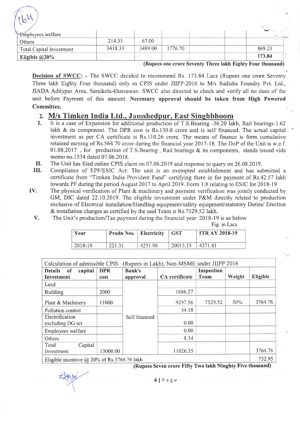| $16^{1}$                        |         |         |         |        |
|---------------------------------|---------|---------|---------|--------|
| Employees welfare               |         |         |         |        |
| Others                          | 214.33  | 67.00   |         |        |
| <b>Total Capital Investment</b> | 3418.33 | 3489.00 | 1776.70 | 869.23 |
| Eligible $@20\%$                |         |         |         | 173.84 |

(Rupees one crore Seventy Three lakh Eighty Four thousand)

Decision of SWCC: - The SWCC decided to recommend Rs. 173.84 Lacs (Rupees one crore Seventy Three lakh Eighty Four thousand) only as CPIS under JIIPP-2016 to M/s Sudisha Foundry Pvt. Ltd., JIADA Aditypur Area, Saraikela-kharsawan. SWCC also directed to check and verify all no dues of the unit before Payment of this amount. Necessary approval should be taken from High Powered Committee.

#### 2. M/s Timken India Ltd., Jamshedpur, East Singhbhoom

- I. It is a case of Expansion for additional production of T.S.Bearing -36.20 lakh, Rail bearings-1.62 lakh & its component. The DPR cost is Rs.130.0 crore and is self financed. The actual capital investment as per CA certificate is Rs.ll0.26 crore. The means of finance is form cumulative retained earning of Rs.564.70 crore during the financial year 2017-18. The DoP of the Unit is w.e.f. 01.08.2017, for production of T.S.Bearing, Rail bearings & its components, stands issued vide memo no.1534 dated 07.06.2018.
- II. The Unit has filed online CPIS claim on 07.06.20 l9 and response to query on 26.08.2019.
- III. Compliance of EPF/ESIC Act: The unit is an exempted establishment and has submitted <sup>a</sup> certificate from "Timken India Provident Fund" certifying there in for payment of Rs.42.57 lakh towards PF during the period August 2017 to April 2019. Form 1.8 relating to ESIC for 2018-19
- IV. The physical verification of Plant & machinery and payment verification was jointly conducted by GM, DIC dated 22.10.2019. The eligible investment under P&M directly related to production exclusive of Electrical installation/Handling equipment/safety equipment/statutory Duties/ Erection & installation charges as certified by the said Team is Rs.7529.52 lakh.
	- v. The Unit's production/Tax payment during the financial year 2018-19 is as below

|  |  | Fig. in Lacs |
|--|--|--------------|
|--|--|--------------|

| Year    | <b>Prodn Nos.</b> Electricity |         | $\overline{\phantom{a}}$ GST | <b>ITR AY 2018-19</b> |
|---------|-------------------------------|---------|------------------------------|-----------------------|
| 2018-19 | 221.31                        | 4251.98 | 20013.13                     | 4371.81               |

| Calculation of admissible CPIS                       |                    |                           | (Rupees in Lakh), Non-MSME under JIIPP 2016 |                    |        |                 |
|------------------------------------------------------|--------------------|---------------------------|---------------------------------------------|--------------------|--------|-----------------|
| capital<br><b>Details</b><br>of<br><b>Investment</b> | <b>DPR</b><br>cost | <b>Bank's</b><br>approval | <b>CA</b> certificate                       | Inspection<br>Team | Weight | <b>Eligible</b> |
| Land                                                 |                    |                           |                                             |                    |        |                 |
| <b>Building</b>                                      | 2000               |                           | 1686.27                                     |                    |        |                 |
| Plant & Machinery                                    | 11000              |                           | 9297.56                                     | 7529.52            | 50%    | 3764.76         |
| Pollution control                                    |                    |                           | 34.18                                       |                    |        |                 |
| Electrification<br>excluding DG set                  |                    | Self financed             | 0.00                                        |                    |        |                 |
| Employees welfare                                    |                    |                           | 0.00                                        |                    |        |                 |
| Others                                               |                    |                           | 8.34                                        |                    |        |                 |
| Capital<br>Total<br>Investment                       | 13000.00           |                           | 11026.35                                    |                    |        | 3764.76         |
| Eligible incentive $\omega$ 20% of Rs.3764.76 lakh   |                    |                           |                                             |                    |        | 752.95          |

(Rupees Seven crore Fifty Two lakh Ninghty Five thousand)

4lPage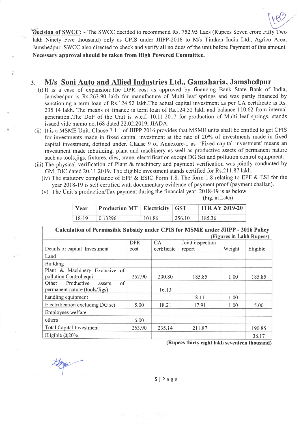Decision of SWCC: - The SWCC decided to recommend Rs. 752.95 Lacs (Rupees Seven crore Fifty Two lakh Ninety Five thousand) only as CPIS under JIIPP-2016 to M/s Timken India Ltd., Agrico Area, Jamshedpur. SWCC also directed to check and verify all no dues of the unit before Payment of this amount. Necessary approval should be taken from High Powered Committee.

#### 3. M/s Soni Auto and Allied Industries Ltd., Gamaharia. Jamshedpur

- (i) It is a case of expansion:The DPR cost as approved by financing Bank State Bank of India, Jamshedpur is Rs.263.90 lakh for manufacture of Multi leaf springs and was partly financed by sanctioning a term loan of Rs.124.52 lakh.The actual capital investment as per CA certificate is Rs. 235.l4lakh. The means of finance is term loan of Rs.124.52 lakh and balance 110.62 from internal generation..The DoP of the Unit is w.e.f. 10.11.2017 for production of Multi leaf springs, stands issued vide memo no.168 dated 22.02.2019, JIADA.
- (ii) It is a MSME Unit. Clause 7.1.1 of JIIPP 2016 provides that MSME units shall be entitled to get CPIS for investments made in fixed capital investment at the rate of 20Yo of investments made in fixed capital investment, defined under. Clause 9 of Annexure-1 as 'Fixed capital investment' means an investment made inbuilding, plant and machinery as well as productive assets of permanent nature such as toolsjigs, fixtures, dies, crane, electrification except DG Set and pollution control equipment.
- (iii) The physical verification of Plant & machinery and payment verification was jointly conducted by GM, DIC dated 20.11.2019. The eligible investment stands certified for Rs.2l1.87 lakh.
	- (iv) The statutory compliance of EPF & ESIC Form 1.8. The form 1.8 relating to EPF & ESI for the year 2018-19 is self certified with documentary evidence of payment proof (payment challan).
	- (v) The Unit's production/Tax payment during the financial year 2018-19 is as below

|  | (Fig. in Lakh) |
|--|----------------|
|  |                |

\  $\mathcal{C}'$ 

| Year    | <b>Production MT   Electricity   GST</b> |        |        | <b>ITRAY 2019-20</b> |
|---------|------------------------------------------|--------|--------|----------------------|
| $18-19$ | $\pm 0.13296$                            | 101.86 | 256.10 | 185.36               |

#### Calculation of Permissible Subsidy under CPIS for MSME under JIIPP - 2016 Policy (Figures in Lakh Runees)

|                                     |            |             |                  | $\left($ rightes in Earn iverpress |          |
|-------------------------------------|------------|-------------|------------------|------------------------------------|----------|
|                                     | <b>DPR</b> | CA          | Joint inspection |                                    |          |
| Details of capital Investment       | cost       | certificate | report           | Weight                             | Eligible |
| Land                                |            |             |                  |                                    |          |
| <b>Building</b>                     |            |             |                  |                                    |          |
| Plant & Machinery Exclusive of      |            |             |                  |                                    |          |
| pollution Control equi              | 252.90     | 200.80      | 185.85           | 1.00                               | 185.85   |
| Productive<br>Other<br>of<br>assets |            |             |                  |                                    |          |
| permanent nature (tools/Jigs)       |            | 16.13       |                  |                                    |          |
| handling equipment                  |            |             | 8.11             | 1.00                               |          |
| Electrification excluding DG set    | 5.00       | 18.21       | 17.91            | 1.00                               | 5.00     |
| Employees welfare                   |            |             |                  |                                    |          |
| others                              | 6.00       |             |                  |                                    |          |
| <b>Total Capital Investment</b>     | 263.90     | 235.14      | 211.87           |                                    | 190.85   |
| Eligible $@20\%$                    |            |             |                  |                                    | 38.17    |

(Rupees thirty eight lakh seventeen thousand)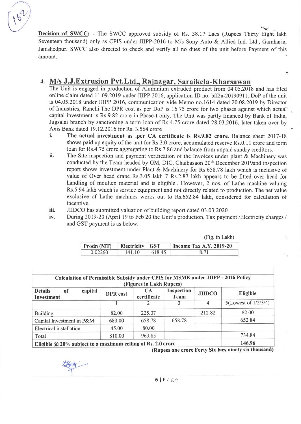

Decision of SWCC: - The SWCC approved subsidy of Rs. 38.17 Lacs (Rupees Thirty Eight lakh Seventeen thousand) only as CPIS under JIIPP-2016 to M/s Sony Auto & Allied Ind. Ltd., Gamharia, Jamshedpur. SWCC also directed to check and verify all no dues of the unit before Payment of this amount.

### 4. M/s J.J.Extrusion Pvt.Ltd., Rajnagar, Saraikela-Kharsawan

The Unit is engaged in production of Aluminium extruded product from 04.05.2018 and has filed online claim dated 11.09.2019 under JIIPP 2016, application ID no. bff2a-20190911. DoP of the unit is 04.05.2018 under JIIPP 2016, communication vide Memo no.1614 dated 20.08.2019 by Director of Industries, Ranchi.The DPR cost as per DoP is 16.75 crore for two phases against which actual capital investment is Rs.9.82 crore in Phase-I only. The Unit was partly financed by Bank of India, Jugsalai branch by sanctioning a term loan of Rs.4.75 crore dated 28.03.2016, later taken over by Axis Bank dated 19.12.2016 for Rs. 3.564 crore

- i. The actual investment as .per CA certificate is Rs.9.82 crore. Balance sheet 2017-18 shows paid up equity of the unit for Rs.3.0 crore, accumulated reserve Rs.0.11 crore and term loan for Rs.4.75 crore aggregating to Rs.7.86 and balance from unpaid sundry creditors.
- ii. The Site inspection and payment verification of the Invoices under plant  $\&$  Machinery was conducted by the Team headed by GM, DIC, Chaibasaon 20<sup>th</sup> December 2019and inspection report shows investment under Plant & Machinery for Rs.658.78 lakh which is inclusive of value of Over head crane Rs.3.05 lakh 7 Rs.2.87 lakh appears to be fitted over head for handling of moulten material and is eligible.. However, 2 nos. of Lathe machine valuing Rs.5.94 lakh which is service equipment and not directly related to production. The net value exclusive of Lathe machines works out to Rs.652.84 lakh, considered for calculation of incentive.
- iii. JIIDCO has submitted valuation of building report dated 03.03.2020
- iv. During 2019-20 (April l9 to Feb 20 the Unit's production, Tax payment /Electricity charges / and GST payment is as below.

|            |                   |        | (Fig. in Lakh)                 |
|------------|-------------------|--------|--------------------------------|
| Prodn (MT) | Electricity   GST |        | <b>Income Tax A.Y. 2019-20</b> |
| 0.02260    | 141.10            | 618.45 | 8.71                           |

| Calculation of Permissible Subsidy under CPIS for MSME under JIIPP - 2016 Policy |          | (Figures in Lakh Rupees) |                    |                |                         |
|----------------------------------------------------------------------------------|----------|--------------------------|--------------------|----------------|-------------------------|
| capital<br><b>Details</b><br>of<br>Investment                                    | DPR cost | <b>CA</b><br>certificate | Inspection<br>Team | <b>JIIDCO</b>  | Eligible                |
|                                                                                  |          |                          | ζ                  | $\overline{4}$ | 5(Lowest of $1/2/3/4$ ) |
| <b>Building</b>                                                                  | 82.00    | 225.07                   |                    | 212.82         | 82.00                   |
| Capital Investment in P&M                                                        | 683.00   | 658.78                   | 658.78             |                | 652.84                  |
| Electrical installation                                                          | 45.00    | 80.00                    |                    |                |                         |
| Total                                                                            | 810.00   | 963.85                   |                    |                | 734.84                  |
| Eligible $@$ 20% subject to a maximum ceiling of Rs. 2.0 crore                   |          |                          |                    |                | 146.96                  |

(Rupees one crore Forty Six lacs ninety six thousand)